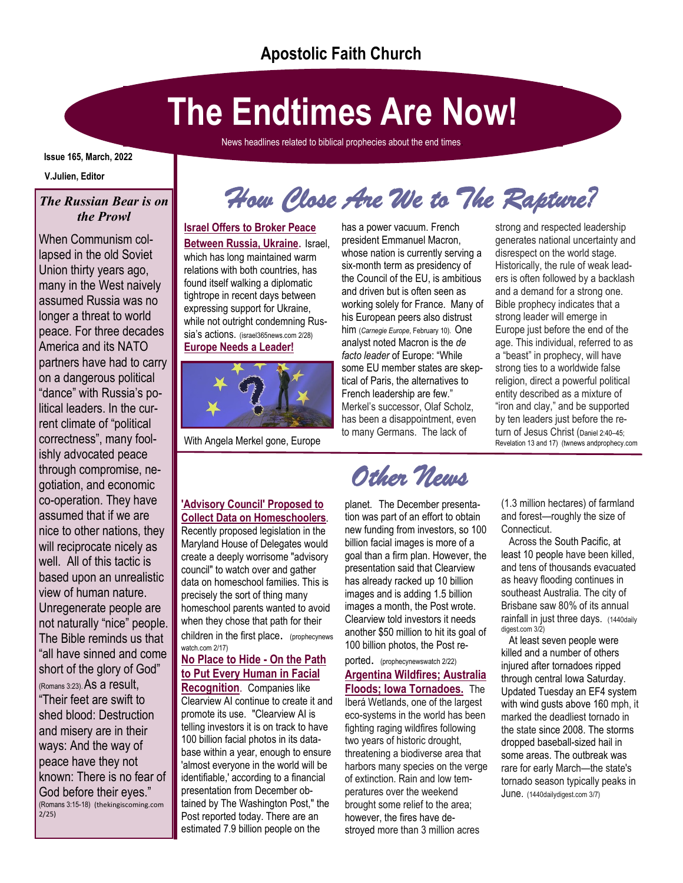# **The Endtimes Are Now!**

News headlines related to biblical prophecies about the end times.

#### **Issue 165, March, 2022**

**V.Julien, Editor**

### *The Russian Bear is on the Prowl*

When Communism collapsed in the old Soviet Union thirty years ago, many in the West naively assumed Russia was no longer a threat to world peace. For three decades America and its NATO partners have had to carry on a dangerous political "dance" with Russia's political leaders. In the current climate of "political correctness", many foolishly advocated peace through compromise, negotiation, and economic co-operation. They have assumed that if we are nice to other nations, they will reciprocate nicely as well. All of this tactic is based upon an unrealistic view of human nature. Unregenerate people are not naturally "nice" people. The Bible reminds us that "all have sinned and come short of the glory of God" (Romans 3:23).As a result, "Their feet are swift to shed blood: Destruction and misery are in their ways: And the way of peace have they not known: There is no fear of God before their eyes." (Romans 3:15-18) (thekingiscoming.com 2/25)

*How Close Are We to The Rapture?* 

### **[Israel Offers to Broker Peace](https://israel365.lt.acemlnc.com/Prod/link-tracker?redirectUrl=aHR0cHMlM0ElMkYlMkZ3d3cuaXNyYWVsMzY1bmV3cy5jb20lMkYyNjY4MzMlMkZpc3JhZWwtb2ZmZXJzLXRvLWJyb2tlci1wZWFjZS1iZXR3ZWVuLXJ1c3NpYS11a3JhaW5lJTJGJTNGdXRtX3NvdXJjZSUzREFjdGl2ZUNhbXBhaWduJTI2dXRtX21lZGl1bSUz)**

**[Between Russia, Ukraine](https://israel365.lt.acemlnc.com/Prod/link-tracker?redirectUrl=aHR0cHMlM0ElMkYlMkZ3d3cuaXNyYWVsMzY1bmV3cy5jb20lMkYyNjY4MzMlMkZpc3JhZWwtb2ZmZXJzLXRvLWJyb2tlci1wZWFjZS1iZXR3ZWVuLXJ1c3NpYS11a3JhaW5lJTJGJTNGdXRtX3NvdXJjZSUzREFjdGl2ZUNhbXBhaWduJTI2dXRtX21lZGl1bSUz)**. Israel, which has long maintained warm relations with both countries, has found itself walking a diplomatic tightrope in recent days between expressing support for Ukraine, while not outright condemning Russia's actions. (israel365news.com 2/28) **Europe Needs a Leader!**



With Angela Merkel gone, Europe

### **['Advisory Council' Proposed to](http://links.prophecynewswatch.com/ss/c/7Toi5Awa1BPn_ASgQJ_YkSZsergMCKKC3pZfPpaSZCndiGgU39k_k4aJi7zmm6Vx8feCYM7OHmLxGKSqywDyAmr0MexCFudIP4bqEsKkVhU/3jn/ZVAt-7rQQtu2CDx-XYwCvQ/h8/MaRz5zV87Dz9QFjtFiRxSn91gCCNW-fGSNu72sj3pUE)  [Collect Data on Homeschoolers](http://links.prophecynewswatch.com/ss/c/7Toi5Awa1BPn_ASgQJ_YkSZsergMCKKC3pZfPpaSZCndiGgU39k_k4aJi7zmm6Vx8feCYM7OHmLxGKSqywDyAmr0MexCFudIP4bqEsKkVhU/3jn/ZVAt-7rQQtu2CDx-XYwCvQ/h8/MaRz5zV87Dz9QFjtFiRxSn91gCCNW-fGSNu72sj3pUE)**.

Recently proposed legislation in the Maryland House of Delegates would create a deeply worrisome "advisory council" to watch over and gather data on homeschool families. This is precisely the sort of thing many homeschool parents wanted to avoid when they chose that path for their children in the first place. (prophecynews

watch.com 2/17)

### **No Place to Hide - On the Path to Put Every Human in Facial**

**Recognition**. Companies like Clearview AI continue to create it and promote its use. "Clearview AI is telling investors it is on track to have 100 billion facial photos in its database within a year, enough to ensure 'almost everyone in the world will be identifiable,' according to a financial presentation from December obtained by The Washington Post," the Post reported today. There are an estimated 7.9 billion people on the

has a power vacuum. French president Emmanuel Macron, whose nation is currently serving a six-month term as presidency of the Council of the EU, is ambitious and driven but is often seen as working solely for France. Many of his European peers also distrust him (*[Carnegie Europe](https://clicks.aweber.com/y/ct/?l=HmZFQ&m=3assja03sWUGArj&b=nDa1HowYo9kZEaoGxH0Q1w)*, February 10). One analyst noted Macron is the *de facto leader* of Europe: "While some EU member states are skeptical of Paris, the alternatives to French leadership are few." Merkel's successor, Olaf Scholz, has been a disappointment, even to many Germans. The lack of

## *Other News*

planet. The December presentation was part of an effort to obtain new funding from investors, so 100 billion facial images is more of a goal than a firm plan. However, the presentation said that Clearview has already racked up 10 billion images and is adding 1.5 billion images a month, the Post wrote. Clearview told investors it needs another \$50 million to hit its goal of 100 billion photos, the Post re-

#### ported. (prophecynewswatch 2/22) **Argentina Wildfires; Australia Floods; Iowa Tornadoes.** The Iberá Wetlands, one of the largest eco-systems in the world has been fighting raging wildfires following two years of historic drought, threatening a biodiverse area that harbors many species on the verge of extinction. Rain and low temperatures over the weekend brought some relief to the area; however, the [fires have de](https://news.join1440.com/t/j-l-zdktdid-drxdltrf-f/)[stroyed](https://news.join1440.com/t/j-l-zdktdid-drxdltrf-f/) more than 3 million acres

strong and respected leadership generates national uncertainty and disrespect on the world stage. Historically, the rule of weak leaders is often followed by a backlash and a demand for a strong one. Bible prophecy indicates that a strong leader will emerge in Europe just before the end of the age. This individual, referred to as a "beast" in prophecy, will have strong ties to a worldwide false religion, direct a powerful political entity described as a mixture of "iron and clay," and be supported by ten leaders just before the return of Jesus Christ ([Daniel 2:40](https://clicks.aweber.com/y/ct/?l=HmZFQ&m=3assja03sWUGArj&b=j4yw1xtEMHxpMGayk3Ztug)–45; Revelation 13 and 17) (twnews andprophecy.com

(1.3 million hectares) of farmland and forest—roughly the size of Connecticut.

 Across the South Pacific, at [least 10 people](https://news.join1440.com/t/j-l-zdktdid-drxdltrf-z/) have been killed, and tens of thousands evacuated as heavy flooding continues in southeast Australia. The city of Brisbane saw 80% of its annual rainfall in just three days. (1440daily digest.com 3/2)

 At least seven people were killed and a number of others injured after tornadoes ripped [through](https://news.join1440.com/t/j-l-zhrsut-drxdltrf-a/) central Iowa Saturday. Updated Tuesday an EF4 system with wind gusts above 160 mph, it marked the deadliest tornado in the state since 2008. The storms dropped [baseball-sized hail](https://news.join1440.com/t/j-l-zhrsut-drxdltrf-z/) in some areas. The outbreak was rare for early March—the state's tornado season typically peaks in June. (1440dailydigest.com 3/7)